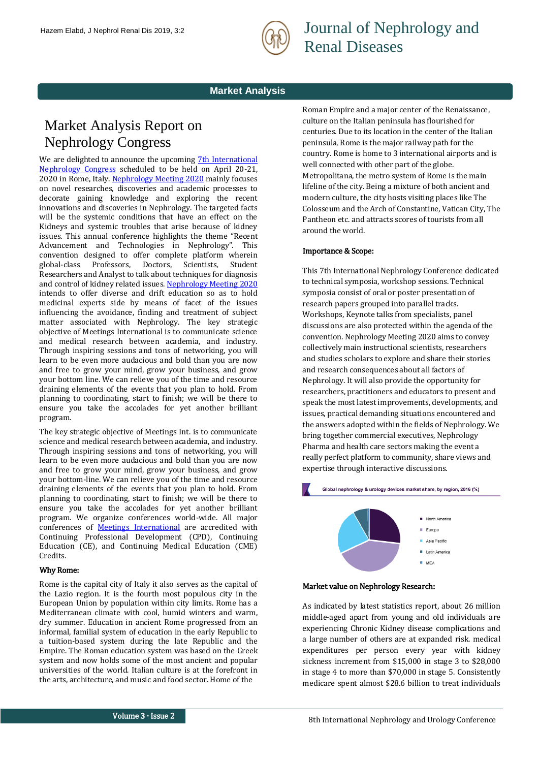

Journal of Nephrology and Renal Diseases

## **Market Analysis**

# Market Analysis Report on Nephrology Congress

We are delighted to announce the upcoming 7th International [Nephrology Congress](https://www.meetingsint.com/nephrology-conferences/nephrology) scheduled to be held on April 20-21, 2020 in Rome, Italy. [Nephrology Meeting 2020](https://www.meetingsint.com/nephrology-conferences/nephrology) mainly focuses on novel researches, discoveries and academic processes to decorate gaining knowledge and exploring the recent innovations and discoveries in Nephrology. The targeted facts will be the systemic conditions that have an effect on the Kidneys and systemic troubles that arise because of kidney issues. This annual conference highlights the theme "Recent Advancement and Technologies in Nephrology". This convention designed to offer complete platform wherein global-class Professors, Doctors, Scientists, Student Researchers and Analyst to talk about techniques for diagnosis and control of kidney related issues[. Nephrology Meeting 2020](https://www.meetingsint.com/nephrology-conferences/nephrology)  intends to offer diverse and drift education so as to hold medicinal experts side by means of facet of the issues influencing the avoidance, finding and treatment of subject matter associated with Nephrology. The key strategic objective of Meetings International is to communicate science and medical research between academia, and industry. Through inspiring sessions and tons of networking, you will learn to be even more audacious and bold than you are now and free to grow your mind, grow your business, and grow your bottom line. We can relieve you of the time and resource draining elements of the events that you plan to hold. From planning to coordinating, start to finish; we will be there to ensure you take the accolades for yet another brilliant program.

The key strategic objective of Meetings Int. is to communicate science and medical research between academia, and industry. Through inspiring sessions and tons of networking, you will learn to be even more audacious and bold than you are now and free to grow your mind, grow your business, and grow your bottom-line. We can relieve you of the time and resource draining elements of the events that you plan to hold. From planning to coordinating, start to finish; we will be there to ensure you take the accolades for yet another brilliant program. We organize conferences world-wide. All major conferences of **[Meetings International](http://www.meetingsint.com/)** are accredited with Continuing Professional Development (CPD), Continuing Education (CE), and Continuing Medical Education (CME) Credits.

### Why Rome:

Rome is the capital city of Italy it also serves as the capital of the Lazio region. It is the fourth most populous city in the European Union by population within city limits. Rome has a Mediterranean climate with cool, humid winters and warm, dry summer. Education in ancient Rome progressed from an informal, familial system of education in the early Republic to a tuition-based system during the late Republic and the Empire. The Roman education system was based on the Greek system and now holds some of the most ancient and popular universities of the world. Italian culture is at the forefront in the arts, architecture, and music and food sector. Home of the

Roman Empire and a major center of the Renaissance, culture on the Italian peninsula has flourished for centuries. Due to its location in the center of the Italian peninsula, Rome is the major railway path for the country. Rome is home to 3 international airports and is well connected with other part of the globe. Metropolitana, the metro system of Rome is the main lifeline of the city. Being a mixture of both ancient and modern culture, the city hosts visiting places like The Colosseum and the Arch of Constantine, Vatican City, The Pantheon etc. and attracts scores of tourists from all around the world.

#### Importance & Scope:

This [7th International Nephrology Conference](https://www.meetingsint.com/nephrology-conferences/nephrology) dedicated to technical symposia, workshop sessions. Technical symposia consist of oral or poster presentation of research papers grouped into parallel tracks. Workshops, Keynote talks from specialists, panel discussions are also protected within the agenda of the convention. [Nephrology Meeting](https://www.meetingsint.com/nephrology-conferences/nephrology) 2020 aims to convey collectively main instructional scientists, researchers and studies scholars to explore and share their stories and research consequences about all factors of Nephrology. It will also provide the opportunity for researchers, practitioners and educators to present and speak the most latest improvements, developments, and issues, practical demanding situations encountered and the answers adopted within the fields of Nephrology. We bring together commercial executives, Nephrology Pharma and health care sectors making the event a really perfect platform to community, share views and expertise through interactive discussions.



#### Market value on Nephrology Research:

As indicated by latest statistics report, about 26 million middle-aged apart from young and old individuals are experiencing Chronic Kidney disease complications and a large number of others are at expanded risk. medical expenditures per person every year with kidney sickness increment from \$15,000 in stage 3 to \$28,000 in stage 4 to more than \$70,000 in stage 5. Consistently medicare spent almost \$28.6 billion to treat individuals

 $MFA$